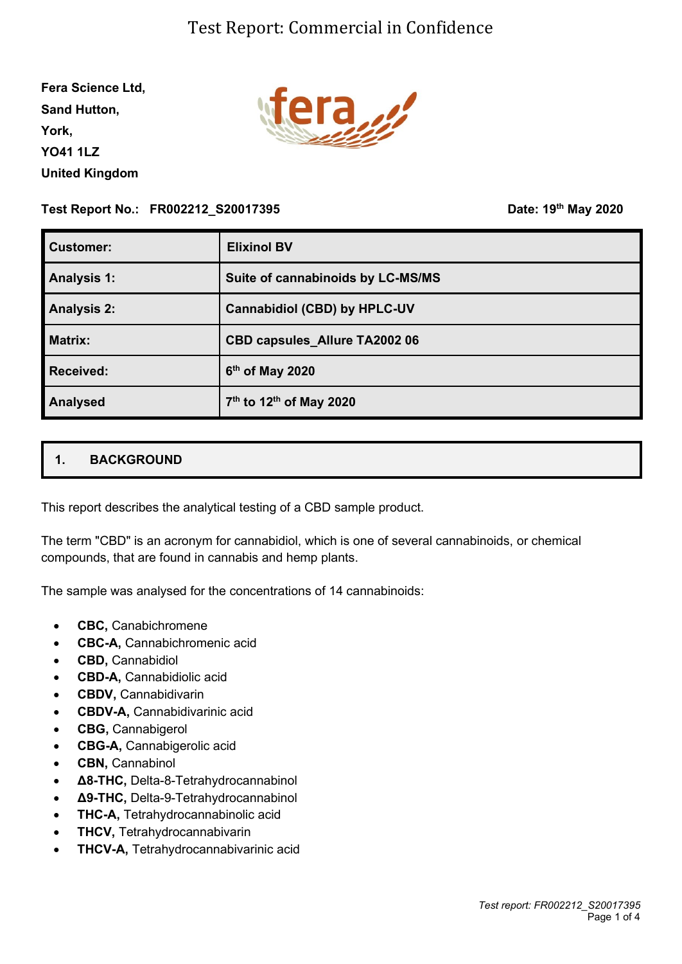**Fera Science Ltd, Sand Hutton, York, YO41 1LZ United Kingdom**



#### **Test Report No.: FR002212\_S20017395**

**th May 2020**

| <b>Customer:</b>   | <b>Elixinol BV</b>                              |
|--------------------|-------------------------------------------------|
| <b>Analysis 1:</b> | Suite of cannabinoids by LC-MS/MS               |
| <b>Analysis 2:</b> | <b>Cannabidiol (CBD) by HPLC-UV</b>             |
| <b>Matrix:</b>     | <b>CBD capsules Allure TA2002 06</b>            |
| <b>Received:</b>   | 6 <sup>th</sup> of May 2020                     |
| <b>Analysed</b>    | 7 <sup>th</sup> to 12 <sup>th</sup> of May 2020 |

### **1. BACKGROUND**

This report describes the analytical testing of a CBD sample product.

The term "CBD" is an acronym for cannabidiol, which is one of several cannabinoids, or chemical compounds, that are found in cannabis and hemp plants.

The sample was analysed for the concentrations of 14 cannabinoids:

- **CBC,** Canabichromene
- **CBC-A,** Cannabichromenic acid
- **CBD,** Cannabidiol
- **CBD-A,** Cannabidiolic acid
- **CBDV,** Cannabidivarin
- **CBDV-A,** Cannabidivarinic acid
- **CBG,** Cannabigerol
- **CBG-A,** Cannabigerolic acid
- **CBN,** Cannabinol
- **Δ8-THC,** Delta-8-Tetrahydrocannabinol
- **Δ9-THC,** Delta-9-Tetrahydrocannabinol
- **THC-A,** Tetrahydrocannabinolic acid
- **THCV,** Tetrahydrocannabivarin
- **THCV-A,** Tetrahydrocannabivarinic acid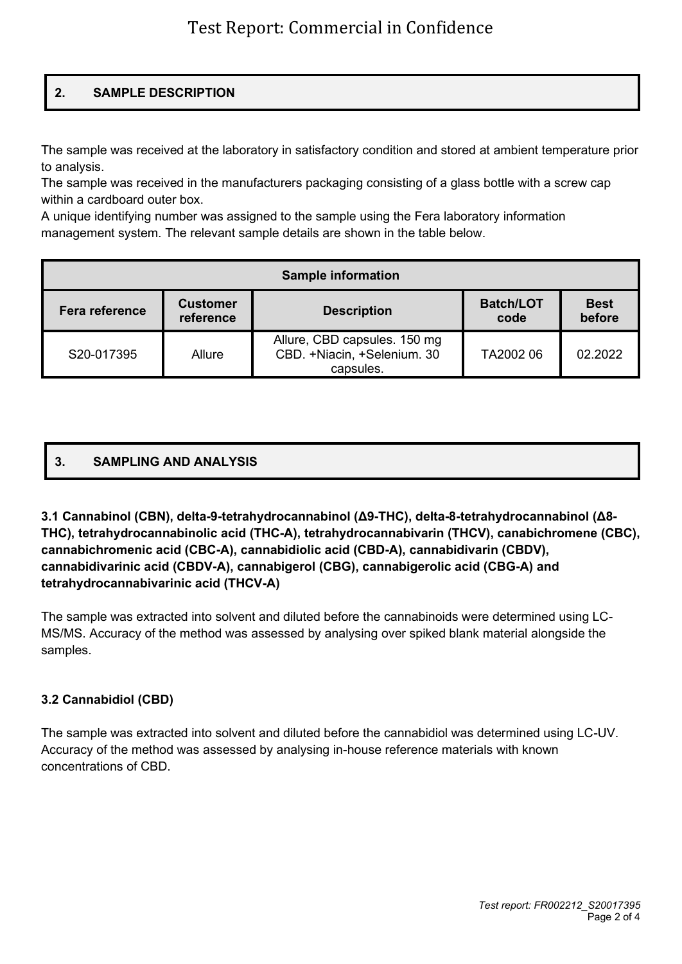### **2. SAMPLE DESCRIPTION**

The sample was received at the laboratory in satisfactory condition and stored at ambient temperature prior to analysis.

The sample was received in the manufacturers packaging consisting of a glass bottle with a screw cap within a cardboard outer box.

A unique identifying number was assigned to the sample using the Fera laboratory information management system. The relevant sample details are shown in the table below.

| <b>Sample information</b> |                              |                                                                          |                          |                       |  |  |  |
|---------------------------|------------------------------|--------------------------------------------------------------------------|--------------------------|-----------------------|--|--|--|
| Fera reference            | <b>Customer</b><br>reference | <b>Description</b>                                                       | <b>Batch/LOT</b><br>code | <b>Best</b><br>before |  |  |  |
| S20-017395                | Allure                       | Allure, CBD capsules. 150 mg<br>CBD. +Niacin, +Selenium. 30<br>capsules. | TA2002 06                | 02.2022               |  |  |  |

# **3. SAMPLING AND ANALYSIS**

**3.1 Cannabinol (CBN), delta-9-tetrahydrocannabinol (Δ9-THC), delta-8-tetrahydrocannabinol (Δ8- THC), tetrahydrocannabinolic acid (THC-A), tetrahydrocannabivarin (THCV), canabichromene (CBC), cannabichromenic acid (CBC-A), cannabidiolic acid (CBD-A), cannabidivarin (CBDV), cannabidivarinic acid (CBDV-A), cannabigerol (CBG), cannabigerolic acid (CBG-A) and tetrahydrocannabivarinic acid (THCV-A)**

The sample was extracted into solvent and diluted before the cannabinoids were determined using LC-MS/MS. Accuracy of the method was assessed by analysing over spiked blank material alongside the samples.

### **3.2 Cannabidiol (CBD)**

The sample was extracted into solvent and diluted before the cannabidiol was determined using LC-UV. Accuracy of the method was assessed by analysing in-house reference materials with known concentrations of CBD.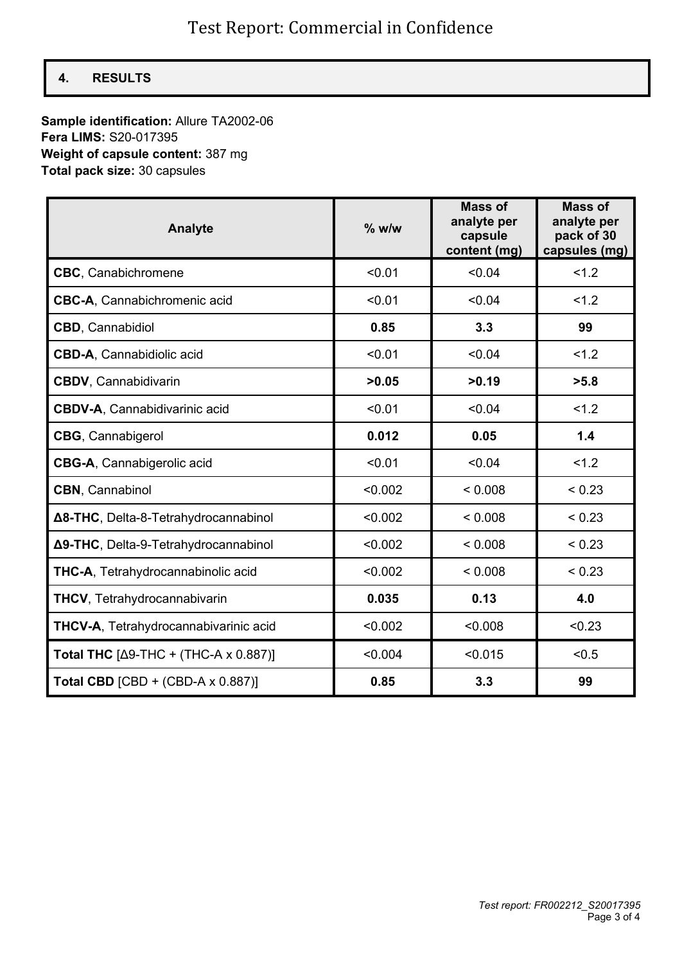### **4. RESULTS**

**Sample identification:** Allure TA2002-06 **Fera LIMS:** S20-017395 **Weight of capsule content:** 387 mg **Total pack size:** 30 capsules

| <b>Analyte</b>                           | $%$ w/w | <b>Mass of</b><br>analyte per<br>capsule<br>content (mg) | <b>Mass of</b><br>analyte per<br>pack of 30<br>capsules (mg) |
|------------------------------------------|---------|----------------------------------------------------------|--------------------------------------------------------------|
| <b>CBC</b> , Canabichromene              | < 0.01  | < 0.04                                                   | 1.2                                                          |
| <b>CBC-A, Cannabichromenic acid</b>      | < 0.01  | < 0.04                                                   | 1.2                                                          |
| <b>CBD, Cannabidiol</b>                  | 0.85    | 3.3                                                      | 99                                                           |
| <b>CBD-A, Cannabidiolic acid</b>         | < 0.01  | < 0.04                                                   | 1.2                                                          |
| <b>CBDV, Cannabidivarin</b>              | >0.05   | >0.19                                                    | >5.8                                                         |
| <b>CBDV-A, Cannabidivarinic acid</b>     | < 0.01  | < 0.04                                                   | 1.2                                                          |
| <b>CBG, Cannabigerol</b>                 | 0.012   | 0.05                                                     | 1.4                                                          |
| CBG-A, Cannabigerolic acid               | < 0.01  | < 0.04                                                   | 1.2                                                          |
| <b>CBN</b> , Cannabinol                  | < 0.002 | < 0.008                                                  | < 0.23                                                       |
| Δ8-THC, Delta-8-Tetrahydrocannabinol     | < 0.002 | < 0.008                                                  | < 0.23                                                       |
| Δ9-THC, Delta-9-Tetrahydrocannabinol     | < 0.002 | < 0.008                                                  | < 0.23                                                       |
| THC-A, Tetrahydrocannabinolic acid       | < 0.002 | < 0.008                                                  | < 0.23                                                       |
| <b>THCV, Tetrahydrocannabivarin</b>      | 0.035   | 0.13                                                     | 4.0                                                          |
| THCV-A, Tetrahydrocannabivarinic acid    | < 0.002 | < 0.008                                                  | < 0.23                                                       |
| Total THC $[Δ9-THC + (THC-A × 0.887)]$   | < 0.004 | < 0.015                                                  | < 0.5                                                        |
| Total CBD $[CBD + (CBD-A \times 0.887)]$ | 0.85    | 3.3                                                      | 99                                                           |